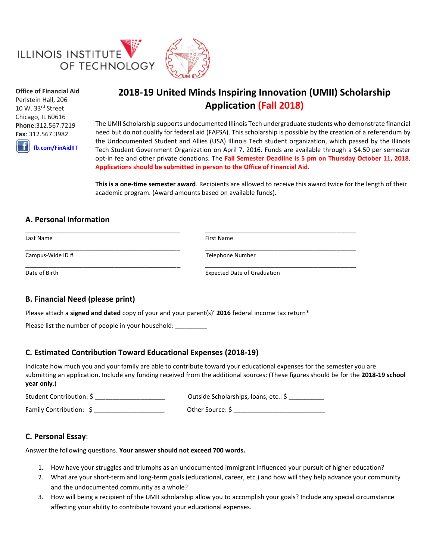

**Office of Financial Aid** Perlstein Hall, 206 10 W. 33rd Street Chicago, IL 60616 **Phone**:312.567.7219 **Fax**: 312.567.3982

**[fb.com/FinAidIIT](https://www.facebook.com/FinAidIIT/)**

# **2018-19 United Minds Inspiring Innovation (UMII) Scholarship Application (Fall 2018)**

The UMII Scholarship supports undocumented Illinois Tech undergraduate students who demonstrate financial need but do not qualify for federal aid (FAFSA). This scholarship is possible by the creation of a referendum by the Undocumented Student and Allies (USA) Illinois Tech student organization, which passed by the Illinois Tech Student Government Organization on April 7, 2016. Funds are available through a \$4.50 per semester opt-in fee and other private donations. The **Fall Semester Deadline is 5 pm on Thursday October 11, 2018**. **Applications should be submitted in person to the Office of Financial Aid.**

**This is a one-time semester award**. Recipients are allowed to receive this award twice for the length of their academic program. (Award amounts based on available funds).

## **A. Personal Information**

| Last Name        | First Name                         |  |
|------------------|------------------------------------|--|
| Campus-Wide ID # | <b>Telephone Number</b>            |  |
| Date of Birth    | <b>Expected Date of Graduation</b> |  |

# **B. Financial Need (please print)**

Please attach a **signed and dated** copy of your and your parent(s)' **2016** federal income tax return\*

Please list the number of people in your household: \_\_\_\_\_\_\_\_\_

#### **C. Estimated Contribution Toward Educational Expenses (2018-19)**

Indicate how much you and your family are able to contribute toward your educational expenses for the semester you are submitting an application. Include any funding received from the additional sources: (These figures should be for the **2018-19 school year only**.)

Student Contribution: \$ \_\_\_\_\_\_\_\_\_\_\_\_\_\_\_\_\_\_\_\_ Outside Scholarships, loans, etc.: \$ \_\_\_\_\_\_\_\_\_\_ Family Contribution: \$ \_\_\_\_\_\_\_\_\_\_\_\_\_\_\_\_\_\_\_\_ Other Source: \$ \_\_\_\_\_\_\_\_\_\_\_\_\_\_\_\_\_\_\_\_\_\_\_\_\_\_

#### **C. Personal Essay**:

Answer the following questions. **Your answer should not exceed 700 words.**

- 1. How have your struggles and triumphs as an undocumented immigrant influenced your pursuit of higher education?
- 2. What are your short-term and long-term goals (educational, career, etc.) and how will they help advance your community and the undocumented community as a whole?
- 3. How will being a recipient of the UMII scholarship allow you to accomplish your goals? Include any special circumstance affecting your ability to contribute toward your educational expenses.